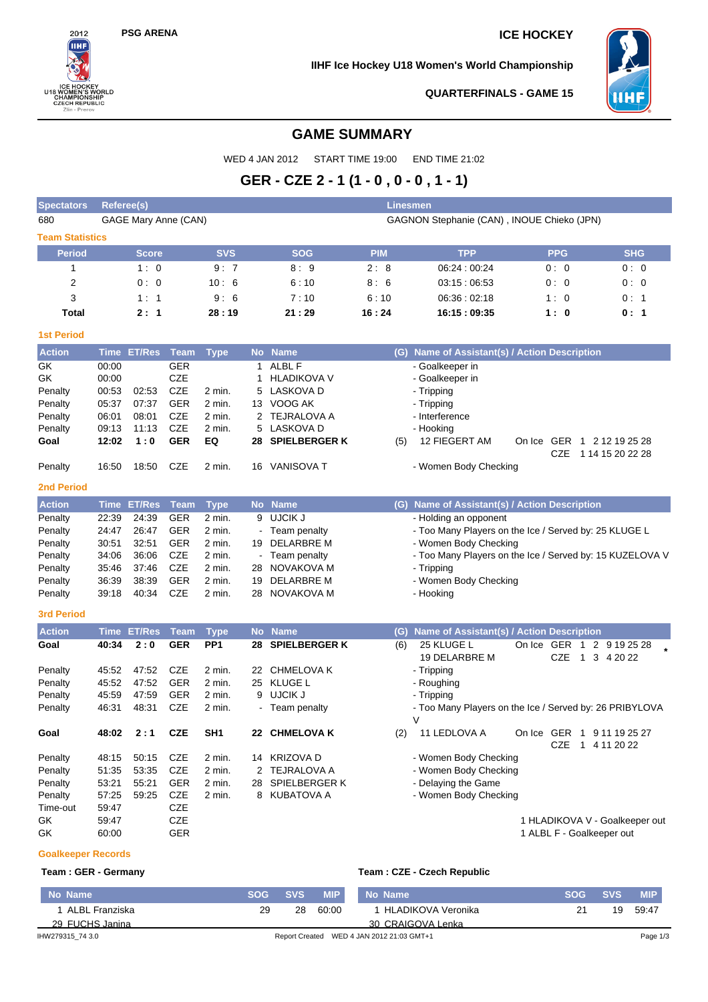$2012$ 

**U18 WOMEN'S WORLY<br>U18 WOMEN'S WORL<br>CHAMPIONSHIP<br>CZECH REPUBLIC<br>Zlin - Prerov** 

ORLD

## **PSG ARENA ICE HOCKEY**

**IIHF Ice Hockey U18 Women's World Championship**



**QUARTERFINALS - GAME 15**

# **GAME SUMMARY**

WED 4 JAN 2012 START TIME 19:00 END TIME 21:02

# **GER - CZE 2 - 1 (1 - 0 , 0 - 0 , 1 - 1)**

| <b>Spectators</b>      | Linesmen<br>Referee(s) |                             |             |                 |       |                      |                                            |                                                          |  |            |                                                          |            |  |  |  |  |  |
|------------------------|------------------------|-----------------------------|-------------|-----------------|-------|----------------------|--------------------------------------------|----------------------------------------------------------|--|------------|----------------------------------------------------------|------------|--|--|--|--|--|
| 680                    |                        | <b>GAGE Mary Anne (CAN)</b> |             |                 |       |                      | GAGNON Stephanie (CAN), INOUE Chieko (JPN) |                                                          |  |            |                                                          |            |  |  |  |  |  |
| <b>Team Statistics</b> |                        |                             |             |                 |       |                      |                                            |                                                          |  |            |                                                          |            |  |  |  |  |  |
| <b>Period</b>          |                        | <b>Score</b>                |             | <b>SVS</b>      |       | <b>SOG</b>           | <b>PIM</b>                                 | <b>TPP</b>                                               |  | <b>PPG</b> |                                                          | <b>SHG</b> |  |  |  |  |  |
| 1                      |                        | 1:0                         |             | 9:7             | 8:9   |                      | 2:8                                        | 06:24:00:24                                              |  | 0:0        |                                                          | 0:0        |  |  |  |  |  |
| 2                      |                        | 0:0                         |             | 10:6            | 6:10  |                      | 8:6                                        | 03:15:06:53                                              |  | 0:0        |                                                          | 0:0        |  |  |  |  |  |
| 3                      |                        | 1:1                         |             | 9:6             |       | 7:10                 | 6:10                                       | 06:36:02:18                                              |  | 1:0        |                                                          | 0:1        |  |  |  |  |  |
| Total                  | 2:1<br>28:19           |                             |             | 21:29           | 16:24 | 16:15:09:35          |                                            | 1:0                                                      |  | 0: 1       |                                                          |            |  |  |  |  |  |
| <b>1st Period</b>      |                        |                             |             |                 |       |                      |                                            |                                                          |  |            |                                                          |            |  |  |  |  |  |
| <b>Action</b>          |                        | Time ET/Res                 | <b>Team</b> | <b>Type</b>     |       | No Name              | (G)                                        | Name of Assistant(s) / Action Description                |  |            |                                                          |            |  |  |  |  |  |
| GK                     | 00:00                  |                             | <b>GER</b>  |                 | 1     | ALBL F               |                                            | - Goalkeeper in                                          |  |            |                                                          |            |  |  |  |  |  |
| GK                     | 00:00                  |                             | CZE         |                 | 1     | <b>HLADIKOVA V</b>   |                                            | - Goalkeeper in                                          |  |            |                                                          |            |  |  |  |  |  |
| Penalty                | 00:53                  | 02:53                       | <b>CZE</b>  | 2 min.          | 5     | LASKOVA D            |                                            | - Tripping                                               |  |            |                                                          |            |  |  |  |  |  |
| Penalty                | 05:37                  | 07:37                       | <b>GER</b>  | 2 min.          |       | 13 VOOG AK           |                                            | - Tripping                                               |  |            |                                                          |            |  |  |  |  |  |
| Penalty                | 06:01                  | 08:01                       | CZE         | 2 min.          |       | 2 TEJRALOVA A        |                                            | - Interference                                           |  |            |                                                          |            |  |  |  |  |  |
| Penalty                | 09:13                  | 11:13                       | <b>CZE</b>  | 2 min.          | 5     | LASKOVA D            |                                            | - Hooking                                                |  |            |                                                          |            |  |  |  |  |  |
| Goal                   | 12:02                  | 1:0                         | <b>GER</b>  | EQ              |       | 28 SPIELBERGER K     | (5)                                        | 12 FIEGERT AM                                            |  |            | On Ice GER 1 2 12 19 25 28                               |            |  |  |  |  |  |
| Penalty                | 16:50                  | 18:50                       | CZE         | 2 min.          |       | 16 VANISOVA T        |                                            | - Women Body Checking                                    |  | CZE        | 1 14 15 20 22 28                                         |            |  |  |  |  |  |
| <b>2nd Period</b>      |                        |                             |             |                 |       |                      |                                            |                                                          |  |            |                                                          |            |  |  |  |  |  |
| <b>Action</b>          |                        | <b>Time ET/Res</b>          | <b>Team</b> | <b>Type</b>     |       | No Name              | (G)                                        | Name of Assistant(s) / Action Description                |  |            |                                                          |            |  |  |  |  |  |
| Penalty                | 22:39                  | 24:39                       | <b>GER</b>  | 2 min.          |       | 9 UJCIK J            |                                            | - Holding an opponent                                    |  |            |                                                          |            |  |  |  |  |  |
| Penalty                | 24:47                  | 26:47                       | <b>GER</b>  | 2 min.          |       | - Team penalty       |                                            | - Too Many Players on the Ice / Served by: 25 KLUGE L    |  |            |                                                          |            |  |  |  |  |  |
| Penalty                | 30:51                  | 32:51                       | <b>GER</b>  | 2 min.          | 19    | DELARBRE M           |                                            | - Women Body Checking                                    |  |            |                                                          |            |  |  |  |  |  |
| Penalty                | 34:06                  | 36:06                       | <b>CZE</b>  | 2 min.          |       | - Team penalty       |                                            | - Too Many Players on the Ice / Served by: 15 KUZELOVA V |  |            |                                                          |            |  |  |  |  |  |
| Penalty                | 35:46                  | 37:46                       | <b>CZE</b>  | 2 min.          | 28    | NOVAKOVA M           |                                            | - Tripping                                               |  |            |                                                          |            |  |  |  |  |  |
| Penalty                | 36:39                  | 38:39                       | GER         | 2 min.          | 19    | DELARBRE M           |                                            | - Women Body Checking                                    |  |            |                                                          |            |  |  |  |  |  |
| Penalty                | 39:18                  | 40:34                       | CZE         | 2 min.          |       | 28 NOVAKOVA M        |                                            | - Hooking                                                |  |            |                                                          |            |  |  |  |  |  |
| <b>3rd Period</b>      |                        |                             |             |                 |       |                      |                                            |                                                          |  |            |                                                          |            |  |  |  |  |  |
| <b>Action</b>          |                        | Time ET/Res                 | <b>Team</b> | <b>Type</b>     |       | No Name              | (G)                                        | Name of Assistant(s) / Action Description                |  |            |                                                          |            |  |  |  |  |  |
| Goal                   | 40:34                  | 2:0                         | <b>GER</b>  | PP <sub>1</sub> | 28    | <b>SPIELBERGER K</b> | (6)                                        | 25 KLUGE L<br>19 DELARBRE M                              |  | CZE        | On Ice GER 1 2 9 19 25 28<br>$\overline{1}$<br>3 4 20 22 |            |  |  |  |  |  |
| Penalty                | 45:52                  | 47:52                       | <b>CZE</b>  | 2 min.          | 22    | <b>CHMELOVA K</b>    |                                            | - Tripping                                               |  |            |                                                          |            |  |  |  |  |  |
| Penalty                | 45:52                  | 47:52                       | <b>GER</b>  | 2 min.          |       | 25 KLUGE L           |                                            | - Roughing                                               |  |            |                                                          |            |  |  |  |  |  |
| Penalty                | 45:59                  | 47:59                       | <b>GER</b>  | 2 min.          |       | 9 UJCIK J            |                                            | - Tripping                                               |  |            |                                                          |            |  |  |  |  |  |
| Penalty                | 46:31                  | 48:31                       | <b>CZE</b>  | 2 min.          |       | - Team penalty       |                                            | - Too Many Players on the Ice / Served by: 26 PRIBYLOVA  |  |            |                                                          |            |  |  |  |  |  |
|                        |                        |                             |             |                 |       |                      |                                            | $\vee$                                                   |  |            |                                                          |            |  |  |  |  |  |
| Goal                   | 48:02                  | 2:1                         | <b>CZE</b>  | SH <sub>1</sub> |       | 22 CHMELOVA K        | (2)                                        | 11 LEDLOVA A                                             |  | CZE        | On Ice GER 1 9 11 19 25 27<br>1 4 11 20 22               |            |  |  |  |  |  |
| Penalty                | 48:15                  | 50:15                       | CZE         | 2 min.          |       | 14 KRIZOVA D         |                                            | - Women Body Checking                                    |  |            |                                                          |            |  |  |  |  |  |
| Penalty                | 51:35                  | 53:35                       | CZE         | 2 min.          |       | 2 TEJRALOVA A        |                                            | - Women Body Checking                                    |  |            |                                                          |            |  |  |  |  |  |
| Penalty                | 53:21                  | 55:21                       | GER         | 2 min.          | 28    | <b>SPIELBERGER K</b> |                                            | - Delaying the Game                                      |  |            |                                                          |            |  |  |  |  |  |
| Penalty                | 57:25                  | 59:25                       | CZE         | 2 min.          |       | 8 KUBATOVA A         |                                            | - Women Body Checking                                    |  |            |                                                          |            |  |  |  |  |  |
| Time-out               | 59:47                  |                             | <b>CZE</b>  |                 |       |                      |                                            |                                                          |  |            |                                                          |            |  |  |  |  |  |
| GK                     | 59:47                  |                             | CZE         |                 |       |                      |                                            |                                                          |  |            | 1 HLADIKOVA V - Goalkeeper out                           |            |  |  |  |  |  |
| GK                     | 60:00                  |                             | GER         |                 |       |                      |                                            |                                                          |  |            | 1 ALBL F - Goalkeeper out                                |            |  |  |  |  |  |

#### **Goalkeeper Records**

#### **Team : GER - Germany Team : CZE - Czech Republic**

| No Name          | <b>SOG</b> | <b>SVS</b> | <b>MIP</b> | No Name                                   | <b>SOG</b> | <b>SVS</b> | <b>MIP</b> |
|------------------|------------|------------|------------|-------------------------------------------|------------|------------|------------|
| ALBL Franziska   | 29         | 28         | 60:00      | 1 HLADIKOVA Veronika                      | 21         | 19         | 59:47      |
| 29 FUCHS Janina  |            |            |            | 30 CRAIGOVA Lenka                         |            |            |            |
| IHW279315 74 3.0 |            |            |            | Report Created WED 4 JAN 2012 21:03 GMT+1 |            |            | Page 1/3   |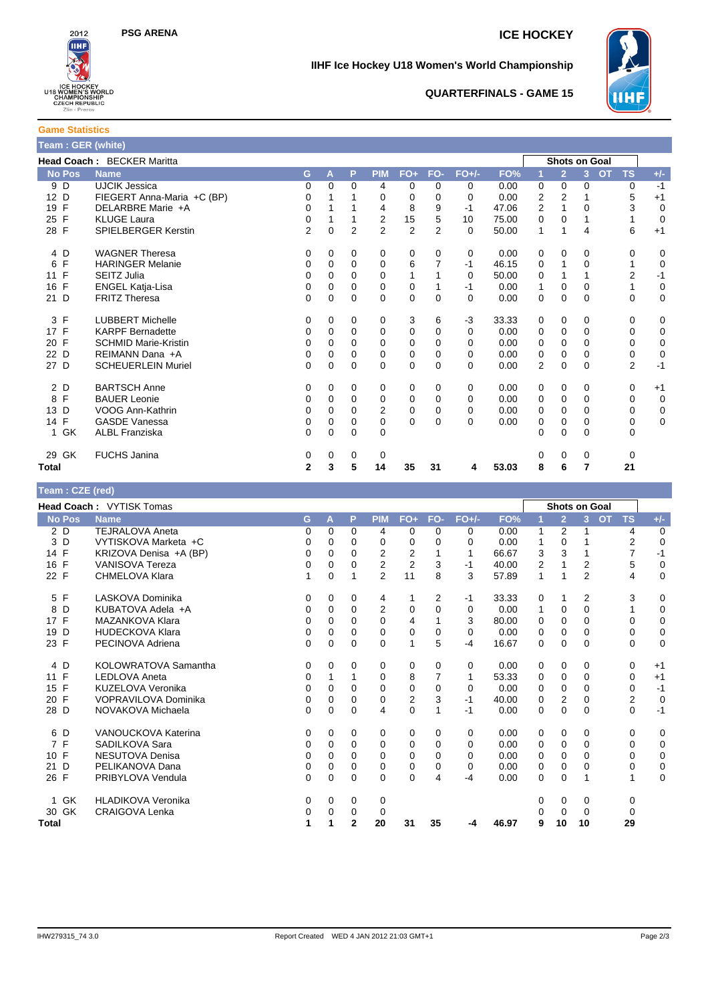

### **IIHF Ice Hockey U18 Women's World Championship**



#### **QUARTERFINALS - GAME 15**

**Game Statistics**

| <b>Feam: GER (white)</b>   |                             |                |          |                |                |                |                |          |                      |                |                |                |           |                |                |
|----------------------------|-----------------------------|----------------|----------|----------------|----------------|----------------|----------------|----------|----------------------|----------------|----------------|----------------|-----------|----------------|----------------|
| Head Coach: BECKER Maritta |                             |                |          |                |                |                |                |          | <b>Shots on Goal</b> |                |                |                |           |                |                |
| <b>No Pos</b>              | <b>Name</b>                 | G              | A        | P              | <b>PIM</b>     | $FO+$          | FO-            | $FO+/-$  | FO%                  |                | $\overline{2}$ | 3 <sup>1</sup> | <b>OT</b> | <b>TS</b>      | $+/-$          |
| 9 D                        | <b>UJCIK Jessica</b>        | 0              | $\Omega$ | 0              | 4              | 0              | 0              | $\Omega$ | 0.00                 | 0              | 0              | 0              |           | 0              | $-1$           |
| 12 D                       | FIEGERT Anna-Maria +C (BP)  | 0              |          |                | 0              | 0              | 0              | $\Omega$ | 0.00                 | 2              | $\overline{2}$ |                |           | 5              | $+1$           |
| 19 F                       | DELARBRE Marie +A           | 0              |          |                | 4              | 8              | 9              | $-1$     | 47.06                | $\overline{2}$ |                | 0              |           | 3              | $\mathbf 0$    |
| 25 F                       | <b>KLUGE Laura</b>          | 0              |          |                | 2              | 15             | 5              | 10       | 75.00                | 0              | $\Omega$       |                |           |                | $\overline{0}$ |
| 28 F                       | SPIELBERGER Kerstin         | $\overline{2}$ | 0        | $\overline{2}$ | $\overline{2}$ | $\overline{2}$ | $\overline{2}$ | $\Omega$ | 50.00                | 1              | 1              | 4              |           | 6              | $+1$           |
| 4 D                        | <b>WAGNER Theresa</b>       | 0              | $\Omega$ | 0              | 0              | 0              | 0              | 0        | 0.00                 | 0              | 0              | 0              |           | 0              | 0              |
| F<br>6                     | <b>HARINGER Melanie</b>     | 0              | 0        | $\Omega$       | 0              | 6              |                | $-1$     | 46.15                | 0              | 1              | 0              |           |                | $\mathbf 0$    |
| F<br>11                    | SEITZ Julia                 | 0              | $\Omega$ | 0              | 0              |                |                | 0        | 50.00                | 0              |                |                |           | $\overline{2}$ | $-1$           |
| 16 F                       | ENGEL Katja-Lisa            | 0              | $\Omega$ | 0              | $\Omega$       | 0              |                | -1       | 0.00                 | 1              | 0              | 0              |           |                | $\mathbf 0$    |
| 21 D                       | <b>FRITZ Theresa</b>        | 0              | $\Omega$ | $\Omega$       | $\Omega$       | 0              | $\Omega$       | $\Omega$ | 0.00                 | 0              | 0              | 0              |           | 0              | $\mathbf 0$    |
| 3 F                        | <b>LUBBERT Michelle</b>     | 0              | $\Omega$ | 0              | 0              | 3              | 6              | $-3$     | 33.33                | 0              | 0              | 0              |           | 0              | 0              |
| 17 F                       | <b>KARPF Bernadette</b>     | 0              | 0        | $\Omega$       | 0              | 0              | $\Omega$       | $\Omega$ | 0.00                 | 0              | 0              | 0              |           | 0              | $\mathbf 0$    |
| 20 F                       | <b>SCHMID Marie-Kristin</b> | 0              | $\Omega$ | 0              | 0              | 0              | 0              | $\Omega$ | 0.00                 | 0              | 0              | 0              |           | 0              | $\mathbf 0$    |
| 22 D                       | REIMANN Dana +A             | 0              | $\Omega$ | 0              | $\Omega$       | $\mathbf 0$    | $\Omega$       | $\Omega$ | 0.00                 | 0              | $\mathbf 0$    | 0              |           | 0              | $\mathbf 0$    |
| 27 D                       | <b>SCHEUERLEIN Muriel</b>   | 0              | $\Omega$ | $\Omega$       | $\Omega$       | $\mathbf 0$    | $\Omega$       | $\Omega$ | 0.00                 | $\overline{2}$ | $\mathbf 0$    | $\Omega$       |           | $\overline{2}$ | $-1$           |
| 2 D                        | <b>BARTSCH Anne</b>         | 0              | $\Omega$ | 0              | 0              | 0              | 0              | 0        | 0.00                 | 0              | 0              | 0              |           | 0              | $+1$           |
| 8 F                        | <b>BAUER Leonie</b>         | 0              | 0        | $\Omega$       | 0              | 0              | 0              | $\Omega$ | 0.00                 | 0              | 0              | $\Omega$       |           | 0              | $\mathbf 0$    |
| 13 D                       | VOOG Ann-Kathrin            | 0              | $\Omega$ | $\Omega$       | 2              | 0              | 0              | 0        | 0.00                 | 0              | $\mathbf 0$    | 0              |           | 0              | $\mathbf 0$    |
| 14 F                       | <b>GASDE Vanessa</b>        | $\Omega$       | $\Omega$ | 0              | $\mathbf 0$    | $\Omega$       | $\Omega$       | $\Omega$ | 0.00                 | 0              | 0              | 0              |           | 0              | $\mathbf 0$    |
| 1 GK                       | <b>ALBL Franziska</b>       | 0              | $\Omega$ | $\Omega$       | $\Omega$       |                |                |          |                      | 0              | $\Omega$       | 0              |           | 0              |                |
| 29 GK                      | <b>FUCHS Janina</b>         | 0              | 0        | 0              | 0              |                |                |          |                      | 0              | 0              | 0              |           | 0              |                |
| <b>Total</b>               |                             | $\overline{2}$ | 3        | 5              | 14             | 35             | 31             | 4        | 53.03                | 8              | 6              | 7              |           | 21             |                |

| Team: CZE (red)                 |                           |          |             |              |                |                |                |          |       |          |                |                      |                        |             |
|---------------------------------|---------------------------|----------|-------------|--------------|----------------|----------------|----------------|----------|-------|----------|----------------|----------------------|------------------------|-------------|
| <b>Head Coach: VYTISK Tomas</b> |                           |          |             |              |                |                |                |          |       |          |                | <b>Shots on Goal</b> |                        |             |
| <b>No Pos</b>                   | <b>Name</b>               | G        | A           | P            | <b>PIM</b>     | $FO+$          | FO-            | $FO+/-$  | FO%   | 1        | $\overline{2}$ | $\overline{3}$       | <b>OT</b><br><b>TS</b> | $+/-$       |
| 2 D                             | <b>TEJRALOVA Aneta</b>    | 0        | $\Omega$    | 0            | 4              | 0              | 0              | 0        | 0.00  | 1        | $\overline{2}$ |                      | 4                      | $\mathbf 0$ |
| 3<br>D                          | VYTISKOVA Marketa +C      | 0        | 0           | 0            | 0              | 0              | 0              | $\Omega$ | 0.00  | 1        | $\Omega$       |                      | $\overline{2}$         | $\mathbf 0$ |
| 14 F                            | KRIZOVA Denisa +A (BP)    | 0        | 0           | $\Omega$     | 2              | 2              |                | 1        | 66.67 | 3        | 3              |                      | 7                      | $-1$        |
| $\mathsf{F}$<br>16              | <b>VANISOVA Tereza</b>    | 0        | 0           | $\Omega$     | $\overline{2}$ | $\overline{2}$ | 3              | $-1$     | 40.00 | 2        | 1              | $\overline{2}$       | 5                      | $\mathbf 0$ |
| 22 F                            | <b>CHMELOVA Klara</b>     | 1        | 0           | 1            | $\overline{2}$ | 11             | 8              | 3        | 57.89 | 1        | 1              | 2                    | 4                      | $\mathbf 0$ |
| 5 F                             | LASKOVA Dominika          | 0        | 0           | 0            | 4              |                | 2              | -1       | 33.33 | 0        | 1              | 2                    | 3                      | 0           |
| 8<br>D                          | KUBATOVA Adela +A         | 0        | 0           | 0            | $\overline{2}$ | 0              | 0              | 0        | 0.00  | 1        | 0              | $\Omega$             | 1                      | $\mathbf 0$ |
| 17 F                            | <b>MAZANKOVA Klara</b>    | 0        | 0           | $\Omega$     | 0              | 4              |                | 3        | 80.00 | 0        | 0              | $\Omega$             | $\Omega$               | 0           |
| D<br>19                         | <b>HUDECKOVA Klara</b>    | 0        | $\Omega$    | $\Omega$     | 0              | 0              | $\Omega$       | $\Omega$ | 0.00  | 0        | $\Omega$       | $\Omega$             | 0                      | $\pmb{0}$   |
| 23 F                            | PECINOVA Adriena          | 0        | $\Omega$    | $\Omega$     | 0              | 1              | 5              | $-4$     | 16.67 | $\Omega$ | $\Omega$       | $\Omega$             | $\Omega$               | $\mathbf 0$ |
| 4 D                             | KOLOWRATOVA Samantha      | 0        | 0           | 0            | 0              | 0              | $\Omega$       | 0        | 0.00  | 0        | 0              | 0                    | 0                      | $+1$        |
| 11 F                            | <b>LEDLOVA Aneta</b>      | 0        |             | 1            | 0              | 8              | $\overline{7}$ | 1        | 53.33 | 0        | 0              | $\Omega$             | 0                      | $+1$        |
| F<br>15                         | KUZELOVA Veronika         | 0        | $\Omega$    | $\Omega$     | 0              | 0              | $\Omega$       | $\Omega$ | 0.00  | $\Omega$ | $\Omega$       | $\Omega$             | $\Omega$               | $-1$        |
| 20 F                            | VOPRAVILOVA Dominika      | 0        | $\mathbf 0$ | 0            | 0              | $\overline{2}$ | 3              | $-1$     | 40.00 | 0        | $\overline{2}$ | $\Omega$             | $\overline{2}$         | $\mathbf 0$ |
| 28 D                            | NOVAKOVA Michaela         | $\Omega$ | $\Omega$    | $\Omega$     | 4              | $\Omega$       |                | $-1$     | 0.00  | 0        | $\Omega$       | $\Omega$             | $\Omega$               | $-1$        |
| 6 D                             | VANOUCKOVA Katerina       | 0        | 0           | 0            | 0              | 0              | 0              | 0        | 0.00  | 0        | 0              | 0                    | $\mathbf 0$            | 0           |
| 7 F                             | SADILKOVA Sara            | 0        | $\Omega$    | $\Omega$     | 0              | 0              | $\Omega$       | $\Omega$ | 0.00  | 0        | 0              | $\Omega$             | $\Omega$               | 0           |
| 10 F                            | NESUTOVA Denisa           | 0        | 0           | $\Omega$     | 0              | 0              | $\Omega$       | $\Omega$ | 0.00  | 0        | $\Omega$       | $\Omega$             | 0                      | 0           |
| D<br>21                         | PELIKANOVA Dana           | 0        | 0           | 0            | 0              | 0              | 0              | $\Omega$ | 0.00  | 0        | $\Omega$       | $\Omega$             | $\Omega$               | $\mathbf 0$ |
| 26 F                            | PRIBYLOVA Vendula         | $\Omega$ | 0           | $\Omega$     | $\mathbf{0}$   | 0              | 4              | $-4$     | 0.00  | 0        | $\Omega$       |                      | 1                      | $\mathbf 0$ |
| GK<br>$\mathbf{1}$              | <b>HLADIKOVA Veronika</b> | 0        | 0           | 0            | 0              |                |                |          |       | 0        | 0              | 0                    | 0                      |             |
| 30 GK                           | <b>CRAIGOVA Lenka</b>     | 0        | 0           | 0            | 0              |                |                |          |       | 0        | $\Omega$       | $\Omega$             | 0                      |             |
| Total                           |                           | 1        | 1           | $\mathbf{2}$ | 20             | 31             | 35             | -4       | 46.97 | 9        | 10             | 10                   | 29                     |             |